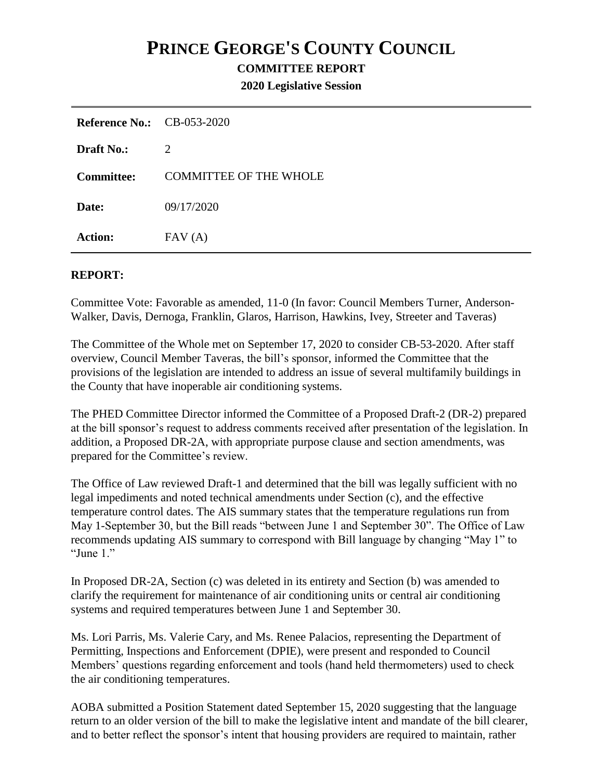## **PRINCE GEORGE'S COUNTY COUNCIL**

## **COMMITTEE REPORT**

**2020 Legislative Session**

| <b>Reference No.:</b> CB-053-2020 |                               |
|-----------------------------------|-------------------------------|
| <b>Draft No.:</b>                 | 2                             |
| <b>Committee:</b>                 | <b>COMMITTEE OF THE WHOLE</b> |
| Date:                             | 09/17/2020                    |
| <b>Action:</b>                    | FAV(A)                        |

## **REPORT:**

Committee Vote: Favorable as amended, 11-0 (In favor: Council Members Turner, Anderson-Walker, Davis, Dernoga, Franklin, Glaros, Harrison, Hawkins, Ivey, Streeter and Taveras)

The Committee of the Whole met on September 17, 2020 to consider CB-53-2020. After staff overview, Council Member Taveras, the bill's sponsor, informed the Committee that the provisions of the legislation are intended to address an issue of several multifamily buildings in the County that have inoperable air conditioning systems.

The PHED Committee Director informed the Committee of a Proposed Draft-2 (DR-2) prepared at the bill sponsor's request to address comments received after presentation of the legislation. In addition, a Proposed DR-2A, with appropriate purpose clause and section amendments, was prepared for the Committee's review.

The Office of Law reviewed Draft-1 and determined that the bill was legally sufficient with no legal impediments and noted technical amendments under Section (c), and the effective temperature control dates. The AIS summary states that the temperature regulations run from May 1-September 30, but the Bill reads "between June 1 and September 30". The Office of Law recommends updating AIS summary to correspond with Bill language by changing "May 1" to "June 1."

In Proposed DR-2A, Section (c) was deleted in its entirety and Section (b) was amended to clarify the requirement for maintenance of air conditioning units or central air conditioning systems and required temperatures between June 1 and September 30.

Ms. Lori Parris, Ms. Valerie Cary, and Ms. Renee Palacios, representing the Department of Permitting, Inspections and Enforcement (DPIE), were present and responded to Council Members' questions regarding enforcement and tools (hand held thermometers) used to check the air conditioning temperatures.

AOBA submitted a Position Statement dated September 15, 2020 suggesting that the language return to an older version of the bill to make the legislative intent and mandate of the bill clearer, and to better reflect the sponsor's intent that housing providers are required to maintain, rather